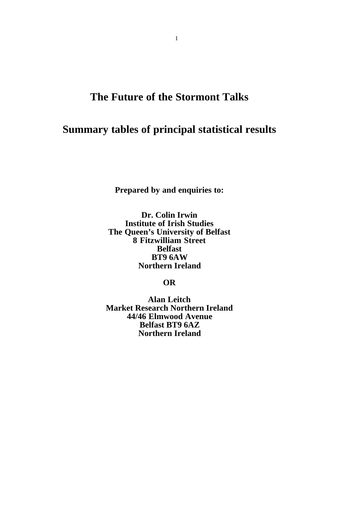# **The Future of the Stormont Talks**

# **Summary tables of principal statistical results**

**Prepared by and enquiries to:**

**Dr. Colin Irwin Institute of Irish Studies The Queen's University of Belfast 8 Fitzwilliam Street Belfast BT9 6AW Northern Ireland**

## **OR**

**Alan Leitch Market Research Northern Ireland 44/46 Elmwood Avenue Belfast BT9 6AZ Northern Ireland**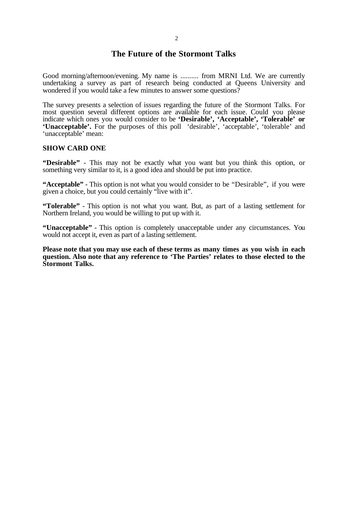### **The Future of the Stormont Talks**

Good morning/afternoon/evening. My name is .......... from MRNI Ltd. We are currently undertaking a survey as part of research being conducted at Oueens University and wondered if you would take a few minutes to answer some questions?

The survey presents a selection of issues regarding the future of the Stormont Talks. For most question several different options are available for each issue. Could you please indicate which ones you would consider to be **'Desirable', 'Acceptable', 'Tolerable' or 'Unacceptable'.** For the purposes of this poll 'desirable', 'acceptable', 'tolerable' and 'unacceptable' mean:

#### **SHOW CARD ONE**

**"Desirable"** - This may not be exactly what you want but you think this option, or something very similar to it, is a good idea and should be put into practice.

**"Acceptable"** - This option is not what you would consider to be "Desirable", if you were given a choice, but you could certainly "live with it".

**"Tolerable"** - This option is not what you want. But, as part of a lasting settlement for Northern Ireland, you would be willing to put up with it.

**"Unacceptable"** - This option is completely unacceptable under any circumstances. You would not accept it, even as part of a lasting settlement.

**Please note that you may use each of these terms as many times as you wish in each question. Also note that any reference to 'The Parties' relates to those elected to the Stormont Talks.**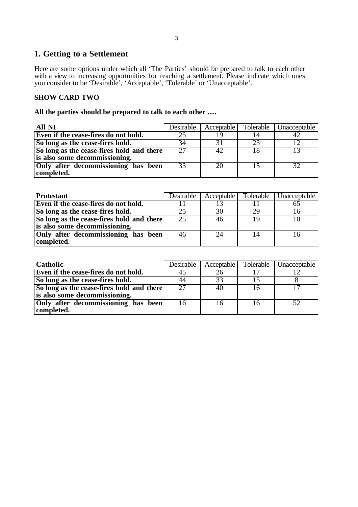## **1. Getting to a Settlement**

Here are some options under which all 'The Parties' should be prepared to talk to each other with a view to increasing opportunities for reaching a settlement. Please indicate which ones you consider to be 'Desirable', 'Acceptable', 'Tolerable' or 'Unacceptable'.

#### **SHOW CARD TWO**

#### **All the parties should be prepared to talk to each other .....**

| All NI                                    | Desirable | Acceptable | Tolerable    | Unacceptable |
|-------------------------------------------|-----------|------------|--------------|--------------|
| Even if the cease-fires do not hold.      |           |            | 14           |              |
| So long as the cease-fires hold.          |           |            | 23           |              |
| So long as the cease-fires hold and there | 27        |            |              |              |
| is also some decommissioning.             |           |            |              |              |
| Only after decommissioning has been       | 33        | 20         | $\mathsf{L}$ | 32           |
| completed.                                |           |            |              |              |

| <b>Protestant</b>                         | Desirable | Acceptable | <b>Tolerable</b> | Unacceptable |
|-------------------------------------------|-----------|------------|------------------|--------------|
| Even if the cease-fires do not hold.      |           |            |                  |              |
| So long as the cease-fires hold.          |           | 30         | 29               |              |
| So long as the cease-fires hold and there | 25        | 46         | 19               |              |
| is also some decommissioning.             |           |            |                  |              |
| Only after decommissioning has been       | 46        | 24         |                  |              |
| completed.                                |           |            |                  |              |

| <b>Catholic</b>                           | Desirable | Acceptable | Tolerable | Unacceptable |
|-------------------------------------------|-----------|------------|-----------|--------------|
| Even if the cease-fires do not hold.      |           |            |           |              |
| So long as the cease-fires hold.          | 44        | 33         |           |              |
| So long as the cease-fires hold and there | 27        | 40         |           |              |
| is also some decommissioning.             |           |            |           |              |
| Only after decommissioning has been       |           |            |           |              |
| completed.                                |           |            |           |              |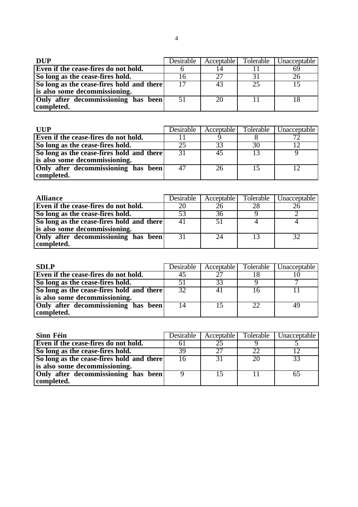| <b>DUP</b>                                | Desirable |              | Acceptable Tolerable | Unacceptable |
|-------------------------------------------|-----------|--------------|----------------------|--------------|
| Even if the cease-fires do not hold.      |           |              |                      |              |
| So long as the cease-fires hold.          |           | $2^{\prime}$ |                      |              |
| So long as the cease-fires hold and there |           | 43           | 25                   |              |
| is also some decommissioning.             |           |              |                      |              |
| Only after decommissioning has been       | 51        | 20           |                      |              |
| completed.                                |           |              |                      |              |

| ШР                                        | Desirable | Acceptable | Tolerable | Unacceptable |
|-------------------------------------------|-----------|------------|-----------|--------------|
| Even if the cease-fires do not hold.      |           |            |           |              |
| So long as the cease-fires hold.          |           |            | 30        |              |
| So long as the cease-fires hold and there | 31        |            |           |              |
| is also some decommissioning.             |           |            |           |              |
| Only after decommissioning has been       |           | 26         |           |              |
| completed.                                |           |            |           |              |

| <b>Alliance</b>                           |    | Desirable   Acceptable | Tolerable   Unacceptable |
|-------------------------------------------|----|------------------------|--------------------------|
| Even if the cease-fires do not hold.      |    |                        |                          |
| So long as the cease-fires hold.          |    |                        |                          |
| So long as the cease-fires hold and there | 41 | 51                     |                          |
| is also some decommissioning.             |    |                        |                          |
| Only after decommissioning has been       | 31 |                        |                          |
| completed.                                |    |                        |                          |

| <b>SDLP</b>                               | Desirable | Acceptable | Tolerable | Unacceptable |
|-------------------------------------------|-----------|------------|-----------|--------------|
| Even if the cease-fires do not hold.      |           | $\cap$     |           |              |
| So long as the cease-fires hold.          |           | 33         |           |              |
| So long as the cease-fires hold and there | 32        |            |           |              |
| is also some decommissioning.             |           |            |           |              |
| Only after decommissioning has been       |           |            | 22        |              |
| completed.                                |           |            |           |              |

| Sinn Féin                                 | Desirable | Acceptable | Tolerable | Unacceptable |
|-------------------------------------------|-----------|------------|-----------|--------------|
| Even if the cease-fires do not hold.      |           |            |           |              |
| So long as the cease-fires hold.          | 39        | 27         | 22        |              |
| So long as the cease-fires hold and there |           |            | 20        |              |
| is also some decommissioning.             |           |            |           |              |
| Only after decommissioning has been       |           |            |           |              |
| completed.                                |           |            |           |              |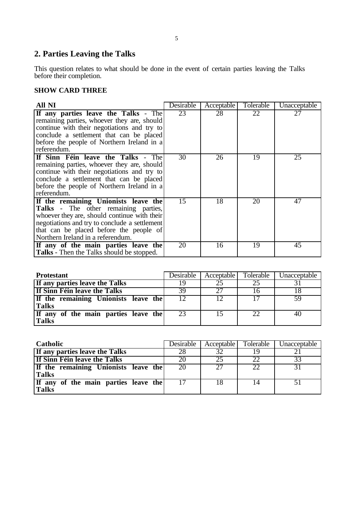# **2. Parties Leaving the Talks**

This question relates to what should be done in the event of certain parties leaving the Talks before their completion.

### **SHOW CARD THREE**

| <b>All NI</b>                                                                                                                                                                                                                                                        | Desirable | Acceptable | Tolerable | Unacceptable |
|----------------------------------------------------------------------------------------------------------------------------------------------------------------------------------------------------------------------------------------------------------------------|-----------|------------|-----------|--------------|
| If any parties leave the Talks - The<br>remaining parties, whoever they are, should<br>continue with their negotiations and try to<br>conclude a settlement that can be placed<br>before the people of Northern Ireland in a<br>referendum.                          | 23        | 28         | 22        | 27           |
| If Sinn Féin leave the Talks - The<br>remaining parties, whoever they are, should<br>continue with their negotiations and try to<br>conclude a settlement that can be placed<br>before the people of Northern Ireland in a<br>referendum.                            | 30        | 26         | 19        | 25           |
| If the remaining Unionists leave the<br><b>Talks</b> - The other remaining parties,<br>whoever they are, should continue with their<br>negotiations and try to conclude a settlement<br>that can be placed before the people of<br>Northern Ireland in a referendum. | 15        | 18         | 20        | 47           |
| If any of the main parties leave the<br><b>Talks</b> - Then the Talks should be stopped.                                                                                                                                                                             | 20        | 16         | 19        | 45           |

| <b>Protestant</b>                    | Desirable | Acceptable | Tolerable | Unacceptable |
|--------------------------------------|-----------|------------|-----------|--------------|
| If any parties leave the Talks       | ιq        |            | 25        |              |
| If Sinn Féin leave the Talks         | 39        | 27         |           |              |
| If the remaining Unionists leave the | 12        |            |           | 59           |
| <b>Talks</b>                         |           |            |           |              |
| If any of the main parties leave the | 23        | 15         |           | 40           |
| <b>Talks</b>                         |           |            |           |              |

| Catholic                             | Desirable | Acceptable | Tolerable | Unacceptable |
|--------------------------------------|-----------|------------|-----------|--------------|
| If any parties leave the Talks       | 28        | 32         | 19        |              |
| If Sinn Féin leave the Talks         | 20        | 25         | 22        | 33           |
| If the remaining Unionists leave the | 20        | 27         | 22        |              |
| <b>Talks</b>                         |           |            |           |              |
| If any of the main parties leave the |           | 18         | 14        |              |
| <b>Talks</b>                         |           |            |           |              |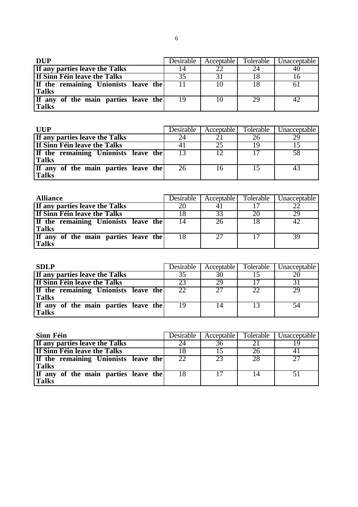| <b>DUP</b>                           | Desirable | Acceptable | Tolerable | Unacceptable |
|--------------------------------------|-----------|------------|-----------|--------------|
| If any parties leave the Talks       |           | າາ         |           |              |
| If Sinn Féin leave the Talks         |           |            |           |              |
| If the remaining Unionists leave the |           |            | 18        |              |
| <b>Talks</b>                         |           |            |           |              |
| If any of the main parties leave the | 19        |            | 29        |              |
| <b>Talks</b>                         |           |            |           |              |

| <b>IIIIP</b>                         | <b>Desirable</b> | Acceptable | Tolerable | Unacceptable |
|--------------------------------------|------------------|------------|-----------|--------------|
| If any parties leave the Talks       | 24               |            |           |              |
| If Sinn Féin leave the Talks         |                  | 25         |           |              |
| If the remaining Unionists leave the |                  |            | 17        |              |
| <b>Talks</b>                         |                  |            |           |              |
| If any of the main parties leave the | 26               | 16         | 15        | 43           |
| <b>Talks</b>                         |                  |            |           |              |

| <b>Alliance</b>                      | Desirable | Acceptable | Tolerable | Unacceptable |
|--------------------------------------|-----------|------------|-----------|--------------|
| If any parties leave the Talks       |           |            |           |              |
| If Sinn Féin leave the Talks         |           | 33         | 20        | 29           |
| If the remaining Unionists leave the | 14        | 26         | 18        |              |
| <b>Talks</b>                         |           |            |           |              |
| If any of the main parties leave the | 18        | 27         |           |              |
| <b>Talks</b>                         |           |            |           |              |

| <b>SDLP</b>                          | Desirable | Acceptable | Tolerable | Unacceptable |
|--------------------------------------|-----------|------------|-----------|--------------|
| If any parties leave the Talks       | 35        | 30         |           |              |
| If Sinn Féin leave the Talks         |           | 29         |           |              |
| If the remaining Unionists leave the | 22        |            | 22        |              |
| <b>Talks</b>                         |           |            |           |              |
| If any of the main parties leave the | 19        | 14         | 13        |              |
| <b>Talks</b>                         |           |            |           |              |

| Sinn Féin                            | Desirable | Acceptable | Tolerable | Unacceptable |
|--------------------------------------|-----------|------------|-----------|--------------|
| If any parties leave the Talks       |           | 36         |           |              |
| If Sinn Féin leave the Talks         |           |            |           |              |
| If the remaining Unionists leave the | 22        | 23         | 28        |              |
| <b>Talks</b>                         |           |            |           |              |
| If any of the main parties leave the |           |            | 14        |              |
| <b>Talks</b>                         |           |            |           |              |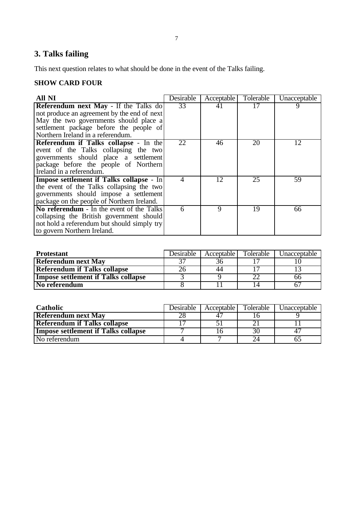# **3. Talks failing**

This next question relates to what should be done in the event of the Talks failing.

# **SHOW CARD FOUR**

| All NI                                          | Desirable      | Acceptable | Tolerable | Unacceptable |
|-------------------------------------------------|----------------|------------|-----------|--------------|
| Referendum next May - If the Talks do           | 33             | 41         | 17        |              |
| not produce an agreement by the end of next     |                |            |           |              |
| May the two governments should place a          |                |            |           |              |
| settlement package before the people of         |                |            |           |              |
| Northern Ireland in a referendum.               |                |            |           |              |
| Referendum if Talks collapse - In the           | 22             | 46         | 20        | 12           |
| event of the Talks collapsing the two           |                |            |           |              |
| governments should place a settlement           |                |            |           |              |
| package before the people of Northern           |                |            |           |              |
| Ireland in a referendum.                        |                |            |           |              |
| <b>Impose settlement if Talks collapse - In</b> | $\overline{A}$ | 12         | 25        | 59           |
| the event of the Talks collapsing the two       |                |            |           |              |
| governments should impose a settlement          |                |            |           |              |
| package on the people of Northern Ireland.      |                |            |           |              |
| No referendum - In the event of the Talks       | 6              | 9          | 19        | 66           |
| collapsing the British government should        |                |            |           |              |
| not hold a referendum but should simply try     |                |            |           |              |
| to govern Northern Ireland.                     |                |            |           |              |

| <b>Protestant</b>                          | Desirable | Acceptable | Tolerable | Unacceptable |
|--------------------------------------------|-----------|------------|-----------|--------------|
| <b>Referendum next May</b>                 | າສ        | 36         |           |              |
| <b>Referendum if Talks collapse</b>        |           | 44         |           |              |
| <b>Impose settlement if Talks collapse</b> |           |            |           | ხხ           |
| No referendum                              |           |            |           |              |

| <b>Catholic</b>                            | Desirable | Acceptable | Tolerable | <b>Unacceptable</b> |
|--------------------------------------------|-----------|------------|-----------|---------------------|
| <b>Referendum next May</b>                 |           |            |           |                     |
| <b>Referendum if Talks collapse</b>        |           |            |           |                     |
| <b>Impose settlement if Talks collapse</b> |           |            | 30        |                     |
| No referendum                              |           |            |           |                     |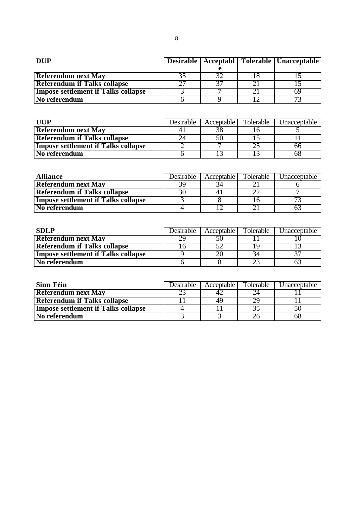| <b>DUP</b>                                 |  | Desirable   Acceptabl   Tolerable   Unacceptable |
|--------------------------------------------|--|--------------------------------------------------|
|                                            |  |                                                  |
| <b>Referendum next May</b>                 |  |                                                  |
| <b>Referendum if Talks collapse</b>        |  |                                                  |
| <b>Impose settlement if Talks collapse</b> |  | 69                                               |
| No referendum                              |  | 72                                               |

| <b>IIIIP</b>                        | Desirable | Acceptable I | Tolerable | Jnacceptable |
|-------------------------------------|-----------|--------------|-----------|--------------|
| <b>Referendum next May</b>          |           | 38           |           |              |
| <b>Referendum if Talks collapse</b> |           | 50           |           |              |
| Impose settlement if Talks collapse |           |              |           | hh           |
| No referendum                       |           |              |           |              |

| <b>Alliance</b>                     | Desirable | Acceptable | <b>Tolerable</b> | Jnacceptable |
|-------------------------------------|-----------|------------|------------------|--------------|
| <b>Referendum next May</b>          | 2С        |            |                  |              |
| <b>Referendum if Talks collapse</b> |           |            |                  |              |
| Impose settlement if Talks collapse |           |            |                  |              |
| No referendum                       |           |            |                  |              |

| <b>SDLP</b>                                | Desirable | Acceptable I | Tolerable | Jnacceptable |
|--------------------------------------------|-----------|--------------|-----------|--------------|
| <b>Referendum next May</b>                 |           | 50           |           |              |
| <b>Referendum if Talks collapse</b>        |           |              |           |              |
| <b>Impose settlement if Talks collapse</b> |           |              | 34        |              |
| No referendum                              |           |              |           |              |

| Sinn Féin                                  | Desirable | Acceptable I | Tolerable | Jnacceptable |
|--------------------------------------------|-----------|--------------|-----------|--------------|
| <b>Referendum next May</b>                 |           | 42           | 24        |              |
| <b>Referendum if Talks collapse</b>        |           | 49           | 29        |              |
| <b>Impose settlement if Talks collapse</b> |           |              |           |              |
| <b>No referendum</b>                       |           |              |           |              |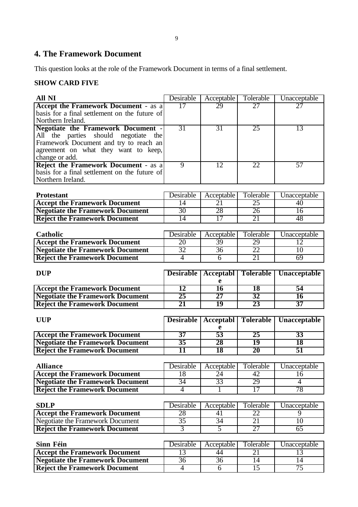## **4. The Framework Document**

This question looks at the role of the Framework Document in terms of a final settlement.

### **SHOW CARD FIVE**

| <b>All NI</b>                                                                         | Desirable             | Acceptable      | Tolerable             | Unacceptable         |
|---------------------------------------------------------------------------------------|-----------------------|-----------------|-----------------------|----------------------|
| <b>Accept the Framework Document - as a</b>                                           | $\overline{17}$       | 29              | 27                    | 27                   |
| basis for a final settlement on the future of                                         |                       |                 |                       |                      |
| Northern Ireland.                                                                     |                       |                 |                       |                      |
| <b>Negotiate the Framework Document -</b>                                             | 31                    | 31              | 25                    | 13                   |
| All the parties should<br>negotiate<br>the                                            |                       |                 |                       |                      |
| Framework Document and try to reach an                                                |                       |                 |                       |                      |
| agreement on what they want to keep,                                                  |                       |                 |                       |                      |
| change or add.                                                                        |                       |                 |                       |                      |
| Reject the Framework Document - as a<br>basis for a final settlement on the future of | $\overline{9}$        | $\overline{12}$ | 22                    | $\overline{57}$      |
| Northern Ireland.                                                                     |                       |                 |                       |                      |
|                                                                                       |                       |                 |                       |                      |
| <b>Protestant</b>                                                                     | Desirable             | Acceptable      | Tolerable             | Unacceptable         |
| <b>Accept the Framework Document</b>                                                  | 14                    | 21              | $\overline{25}$       | 40                   |
| <b>Negotiate the Framework Document</b>                                               | 30                    | 28              | 26                    | $\overline{16}$      |
| <b>Reject the Framework Document</b>                                                  | 14                    | $\overline{17}$ | 21                    | 48                   |
|                                                                                       |                       |                 |                       |                      |
| Catholic                                                                              | Desirable             | Acceptable      | Tolerable             | Unacceptable         |
| <b>Accept the Framework Document</b>                                                  | 20                    | 39              | 29                    | 12                   |
| <b>Negotiate the Framework Document</b>                                               | 32                    | 36              | 22                    | 10                   |
| <b>Reject the Framework Document</b>                                                  | $\overline{4}$        | $\overline{6}$  | 21                    | 69                   |
|                                                                                       |                       |                 |                       |                      |
| <b>DUP</b>                                                                            | <b>Desirable</b>      | Acceptabl       | <b>Tolerable</b>      | Unacceptable         |
|                                                                                       |                       | e               |                       |                      |
|                                                                                       |                       |                 |                       |                      |
| <b>Accept the Framework Document</b>                                                  | 12                    | 16              | 18                    | 54                   |
| <b>Negotiate the Framework Document</b>                                               | 25                    | 27              | $\overline{32}$       | $\overline{16}$      |
| <b>Reject the Framework Document</b>                                                  | 21                    | 19              | 23                    | $\overline{37}$      |
|                                                                                       |                       |                 |                       |                      |
| <b>UUP</b>                                                                            | <b>Desirable</b>      | Acceptabl       | <b>Tolerable</b>      | Unacceptable         |
|                                                                                       |                       | e               |                       |                      |
| <b>Accept the Framework Document</b>                                                  | $\overline{37}$       | 53              | 25                    | $\overline{33}$      |
| <b>Negotiate the Framework Document</b>                                               | 35                    | 28              | 19                    | 18                   |
| <b>Reject the Framework Document</b>                                                  | $\overline{11}$       | 18              | 20                    | 51                   |
|                                                                                       |                       |                 |                       |                      |
| <b>Alliance</b>                                                                       | <b>Desirable</b>      | Acceptable      | Tolerable             | Unacceptable         |
| <b>Accept the Framework Document</b>                                                  | 18                    | 24              | 42                    | 16<br>$\overline{4}$ |
| <b>Negotiate the Framework Document</b>                                               | 34<br>$\overline{4}$  | 33              | 29<br>17              | 78                   |
| <b>Reject the Framework Document</b>                                                  |                       |                 |                       |                      |
| <b>SDLP</b>                                                                           | Desirable             | Acceptable      | Tolerable             | Unacceptable         |
| <b>Accept the Framework Document</b>                                                  | 28                    | 41              | 22                    | 9                    |
| Negotiate the Framework Document                                                      | $\overline{35}$       | 34              | 21                    | 10                   |
| <b>Reject the Framework Document</b>                                                  | $\overline{3}$        | $\overline{5}$  | 27                    | $\overline{65}$      |
|                                                                                       |                       |                 |                       |                      |
| Sinn Féin                                                                             | Desirable             | Acceptable      | Tolerable             | Unacceptable         |
| <b>Accept the Framework Document</b><br><b>Negotiate the Framework Document</b>       | 13<br>$\overline{36}$ | 44<br>36        | 21<br>$\overline{14}$ | 13<br>14             |

**Reject the Framework Document** 4 6 15 75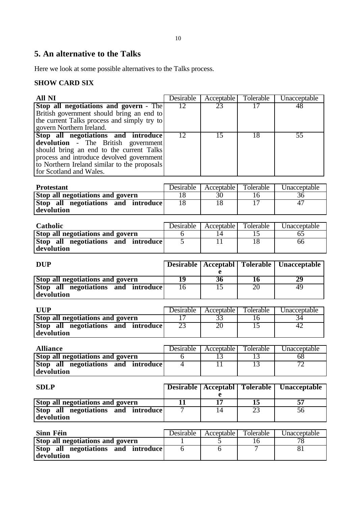## **5. An alternative to the Talks**

Here we look at some possible alternatives to the Talks process.

### **SHOW CARD SIX**

| All NI                                            | Desirable         | Acceptable      | Tolerable        | Unacceptable        |
|---------------------------------------------------|-------------------|-----------------|------------------|---------------------|
| Stop all negotiations and govern - The            | 12                | 23              | $\overline{17}$  | 48                  |
| British government should bring an end to         |                   |                 |                  |                     |
| the current Talks process and simply try to       |                   |                 |                  |                     |
| govern Northern Ireland.                          |                   |                 |                  |                     |
| Stop all negotiations and introduce               | 12                | 15              | 18               | $\overline{55}$     |
| devolution - The British government               |                   |                 |                  |                     |
| should bring an end to the current Talks          |                   |                 |                  |                     |
| process and introduce devolved government         |                   |                 |                  |                     |
| to Northern Ireland similar to the proposals      |                   |                 |                  |                     |
| for Scotland and Wales.                           |                   |                 |                  |                     |
|                                                   |                   |                 |                  |                     |
| <b>Protestant</b>                                 | Desirable         | Acceptable      | Tolerable        | Unacceptable        |
| <b>Stop all negotiations and govern</b>           | 18                | 30              | $\overline{16}$  | 36                  |
| Stop all negotiations and introduce               | 18                | 18              | $\overline{17}$  | 47                  |
| devolution                                        |                   |                 |                  |                     |
|                                                   |                   |                 |                  |                     |
| Catholic                                          | Desirable         | Acceptable      | Tolerable        | Unacceptable        |
| <b>Stop all negotiations and govern</b>           | 6                 | 14              | 15               | 65                  |
| Stop all negotiations and introduce               | 5                 | $\overline{11}$ | 18               | 66                  |
| devolution                                        |                   |                 |                  |                     |
|                                                   |                   |                 |                  |                     |
| <b>DUP</b>                                        | <b>Desirable</b>  | Acceptabl       | <b>Tolerable</b> | <b>Unacceptable</b> |
|                                                   |                   | e               |                  |                     |
|                                                   |                   |                 |                  |                     |
|                                                   |                   |                 |                  |                     |
| Stop all negotiations and govern                  | 19                | 36              | 16               | 29                  |
| Stop all negotiations and introduce               | 16                | 15              | 20               | 49                  |
| devolution                                        |                   |                 |                  |                     |
|                                                   |                   |                 |                  |                     |
| <b>UUP</b>                                        | Desirable         | Acceptable      | Tolerable        | Unacceptable        |
| <b>Stop all negotiations and govern</b>           | $\overline{17}$   | 33              | 16               | 34                  |
| Stop all negotiations and introduce               | 23                | 20              | $\overline{15}$  | 42                  |
| devolution                                        |                   |                 |                  |                     |
|                                                   |                   |                 |                  |                     |
| <b>Alliance</b>                                   | Desirable         | Acceptable      | Tolerable        | Unacceptable        |
| <b>Stop all negotiations and govern</b>           | 6                 | 13              | 13               | 68                  |
| Stop all negotiations and introduce               | 4                 | 11              | 13               | 72                  |
| devolution                                        |                   |                 |                  |                     |
|                                                   |                   |                 |                  |                     |
| <b>SDLP</b>                                       | <b>Desirable</b>  | Acceptabl       | <b>Tolerable</b> | Unacceptable        |
|                                                   |                   | e               |                  |                     |
| Stop all negotiations and govern                  | $\overline{11}$   | $\overline{17}$ | $\overline{15}$  | 57                  |
| Stop all negotiations and introduce               | $\overline{\tau}$ | $\overline{14}$ | 23               | 56                  |
| devolution                                        |                   |                 |                  |                     |
|                                                   |                   |                 |                  |                     |
| Sinn Féin                                         | Desirable         | Acceptable      | Tolerable        | Unacceptable        |
| Stop all negotiations and govern                  | 1                 | $\overline{5}$  | $\overline{16}$  | 78                  |
| Stop all negotiations and introduce<br>devolution | $\overline{6}$    | $\overline{6}$  | 7                | 81                  |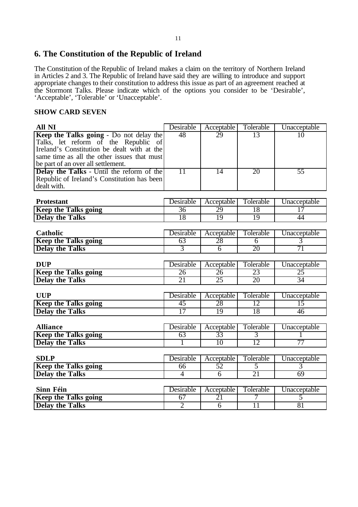## **6. The Constitution of the Republic of Ireland**

The Constitution of the Republic of Ireland makes a claim on the territory of Northern Ireland in Articles 2 and 3. The Republic of Ireland have said they are willing to introduce and support appropriate changes to their constitution to address this issue as part of an agreement reached at the Stormont Talks. Please indicate which of the options you consider to be 'Desirable', 'Acceptable', 'Tolerable' or 'Unacceptable'.

#### **SHOW CARD SEVEN**

| <b>All NI</b>                               | Desirable       | Acceptable       | Tolerable      | Unacceptable       |
|---------------------------------------------|-----------------|------------------|----------------|--------------------|
| Keep the Talks going - Do not delay the     | 48              | 29               | 13             | $\overline{10}$    |
| Talks, let reform of the Republic of        |                 |                  |                |                    |
| Ireland's Constitution be dealt with at the |                 |                  |                |                    |
| same time as all the other issues that must |                 |                  |                |                    |
| be part of an over all settlement.          |                 |                  |                |                    |
| Delay the Talks - Until the reform of the   | $\overline{11}$ | $\overline{14}$  | 20             | 55                 |
| Republic of Ireland's Constitution has been |                 |                  |                |                    |
| dealt with.                                 |                 |                  |                |                    |
| <b>Protestant</b>                           | Desirable       |                  | Tolerable      |                    |
|                                             |                 | Acceptable<br>29 | 18             | Unacceptable<br>17 |
| <b>Keep the Talks going</b>                 | $\overline{36}$ |                  |                |                    |
| <b>Delay the Talks</b>                      | 18              | 19               | 19             | 44                 |
| <b>Catholic</b>                             | Desirable       |                  |                |                    |
|                                             |                 | Acceptable       | Tolerable      | Unacceptable       |
| <b>Keep the Talks going</b>                 | 63              | 28               | $\overline{6}$ | $\overline{3}$     |
| <b>Delay the Talks</b>                      | 3               | $\overline{6}$   | 20             | 71                 |
|                                             |                 |                  |                |                    |
| <b>DUP</b>                                  | Desirable       | Acceptable       | Tolerable      | Unacceptable       |
| <b>Keep the Talks going</b>                 | 26              | 26               | 23             | 25                 |
| <b>Delay the Talks</b>                      | 21              | 25               | 20             | 34                 |
|                                             |                 |                  |                |                    |
| <b>UUP</b>                                  | Desirable       | Acceptable       | Tolerable      | Unacceptable       |
| <b>Keep the Talks going</b>                 | 45              | 28               | 12             | 15                 |
| <b>Delay the Talks</b>                      | 17              | 19               | 18             | 46                 |
|                                             |                 |                  |                |                    |
| <b>Alliance</b>                             | Desirable       | Acceptable       | Tolerable      | Unacceptable       |
| <b>Keep the Talks going</b>                 | 63              | 33               | $\overline{3}$ | 1                  |
| <b>Delay the Talks</b>                      | 1               | 10               | 12             | 77                 |
|                                             |                 |                  |                |                    |
| <b>SDLP</b>                                 | Desirable       | Acceptable       | Tolerable      | Unacceptable       |
| <b>Keep the Talks going</b>                 | 66              | 52               | 5              | 3                  |
| <b>Delay the Talks</b>                      | 4               | $\overline{6}$   | 21             | 69                 |
|                                             |                 |                  |                |                    |
| <b>Sinn Féin</b>                            | Desirable       | Acceptable       | Tolerable      | Unacceptable       |
| <b>Keep the Talks going</b>                 | 67              | 21               | 7              | 5                  |
| <b>Delay the Talks</b>                      | $\overline{2}$  | $\overline{6}$   | 11             | 81                 |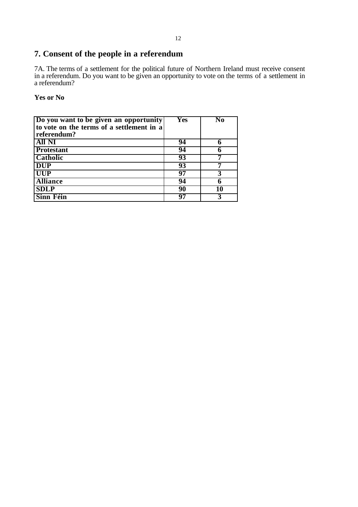# **7. Consent of the people in a referendum**

7A. The terms of a settlement for the political future of Northern Ireland must receive consent in a referendum. Do you want to be given an opportunity to vote on the terms of a settlement in a referendum?

**Yes or No**

| Do you want to be given an opportunity    | Yes | Nο |
|-------------------------------------------|-----|----|
| to vote on the terms of a settlement in a |     |    |
| referendum?                               |     |    |
| <b>All NI</b>                             | 94  |    |
| <b>Protestant</b>                         | 94  |    |
| <b>Catholic</b>                           | 93  |    |
| <b>DUP</b>                                | 93  |    |
| <b>UUP</b>                                | 97  |    |
| <b>Alliance</b>                           | 94  |    |
| <b>SDLP</b>                               | 90  |    |
| <b>Sinn Féin</b>                          | 97  |    |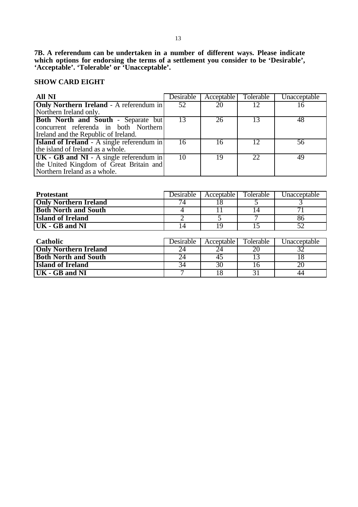**7B. A referendum can be undertaken in a number of different ways. Please indicate which options for endorsing the terms of a settlement you consider to be 'Desirable', 'Acceptable'. 'Tolerable' or 'Unacceptable'.**

#### **SHOW CARD EIGHT**

| All NI                                            | Desirable | Acceptable | Tolerable | Unacceptable |
|---------------------------------------------------|-----------|------------|-----------|--------------|
| <b>Only Northern Ireland</b> - A referendum in    | 52        | 20         |           | ΙO           |
| Northern Ireland only.                            |           |            |           |              |
| <b>Both North and South - Separate but</b>        | 13        | 26         |           | 48           |
| concurrent referenda in both Northern             |           |            |           |              |
| Ireland and the Republic of Ireland.              |           |            |           |              |
| <b>Island of Ireland</b> - A single referendum in | 16        |            |           | 56           |
| the island of Ireland as a whole.                 |           |            |           |              |
| $UK - GB$ and $NI - A$ single referendum in       | 10        | 19         | 22        | 49           |
| the United Kingdom of Great Britain and           |           |            |           |              |
| Northern Ireland as a whole.                      |           |            |           |              |

| <b>Protestant</b>            | Desirable | Acceptable | Tolerable | Unacceptable    |
|------------------------------|-----------|------------|-----------|-----------------|
| <b>Only Northern Ireland</b> | 74        | 18         |           |                 |
| <b>Both North and South</b>  |           |            | 14        | 71              |
| <b>Island of Ireland</b>     |           |            |           | 86              |
| UK - GB and NI               | 14        | 19         | 15        | $\overline{52}$ |
|                              |           |            |           |                 |
| Catholic                     | Desirable | Acceptable | Tolerable | Unacceptable    |
| <b>Only Northern Ireland</b> | 24        | 24         | 20        | 32              |
| <b>Both North and South</b>  | 24        | 45         | 13        | 18              |
| <b>Island of Ireland</b>     | 34        | 30         | 16        | 20              |
| UK - GB and NI               |           | 18         | 31        | 44              |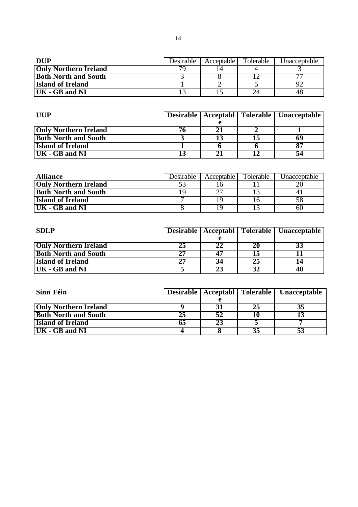| <b>DUP</b>                         | Desirable | Acceptable I | Tolerable | Unacceptable             |
|------------------------------------|-----------|--------------|-----------|--------------------------|
| <b>Only Northern Ireland</b>       | 70        |              |           |                          |
| <b>Both North and South</b>        |           |              |           | $\overline{\phantom{a}}$ |
| <b>Island of Ireland</b>           |           |              |           |                          |
| $\overline{\text{UK}}$ - GB and NI |           |              |           | 48                       |

| <b>IIIIP</b>                 |  | Desirable   Acceptabl   Tolerable   Unacceptable |
|------------------------------|--|--------------------------------------------------|
|                              |  |                                                  |
| <b>Only Northern Ireland</b> |  |                                                  |
| <b>Both North and South</b>  |  | 69                                               |
| <b>Island of Ireland</b>     |  | 87                                               |
| UK - GB and NI               |  | 54                                               |

| <b>Alliance</b>              | Desirable | Acceptable I | Tolerable | Unacceptable |
|------------------------------|-----------|--------------|-----------|--------------|
| <b>Only Northern Ireland</b> |           |              |           |              |
| <b>Both North and South</b>  |           |              |           |              |
| <b>Island of Ireland</b>     |           |              |           |              |
| UK - GB and NI               |           |              |           | 60           |

| <b>SDLP</b>                  |    |    |    | Desirable   Acceptabl   Tolerable   Unacceptable |
|------------------------------|----|----|----|--------------------------------------------------|
|                              |    |    |    |                                                  |
| <b>Only Northern Ireland</b> | 25 | 22 | 20 |                                                  |
| <b>Both North and South</b>  | 27 |    |    |                                                  |
| <b>Island of Ireland</b>     | 27 |    | 25 |                                                  |
| UK - GB and NI               |    | 23 |    | 40                                               |

| Sinn Féin                    |    |    |    | Desirable   Acceptabl   Tolerable   Unacceptable |
|------------------------------|----|----|----|--------------------------------------------------|
|                              |    |    |    |                                                  |
| <b>Only Northern Ireland</b> |    |    | 25 | 35                                               |
| <b>Both North and South</b>  | 25 |    |    |                                                  |
| <b>Island of Ireland</b>     | 65 | 23 |    |                                                  |
| UK - GB and NI               |    |    | 35 | 53                                               |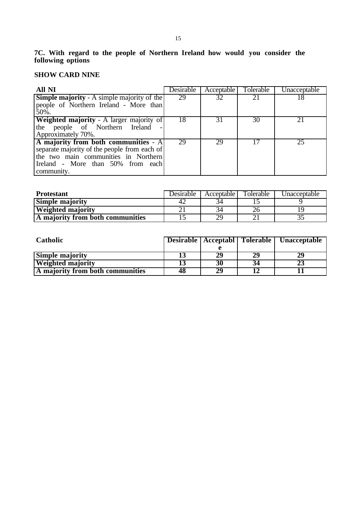### **SHOW CARD NINE**

| All NI                                            | Desirable | Acceptable | Tolerable | Unacceptable |
|---------------------------------------------------|-----------|------------|-----------|--------------|
| <b>Simple majority</b> - A simple majority of the | 29        | 32         |           | 18           |
| people of Northern Ireland - More than            |           |            |           |              |
| 50%.                                              |           |            |           |              |
| <b>Weighted majority</b> - A larger majority of   | 18        | 31         | 30        | 21           |
| the people of Northern Ireland                    |           |            |           |              |
| Approximately 70%.                                |           |            |           |              |
| A majority from both communities - A              | 29        | 29         | 17        | 25           |
| separate majority of the people from each of      |           |            |           |              |
| the two main communities in Northern              |           |            |           |              |
| Ireland - More than 50% from each                 |           |            |           |              |
| community.                                        |           |            |           |              |

| <b>Protestant</b>                | <b>Desirable</b> | Acceptable | Tolerable | Jnaccentable |
|----------------------------------|------------------|------------|-----------|--------------|
| <b>Simple majority</b>           | 42               |            |           |              |
| <b>Weighted majority</b>         |                  |            |           |              |
| A majority from both communities |                  |            |           |              |

| <b>Catholic</b>                  |    |    |    | Desirable   Acceptabl   Tolerable   Unacceptable |
|----------------------------------|----|----|----|--------------------------------------------------|
|                                  |    |    |    |                                                  |
| <b>Simple majority</b>           |    | 29 | 29 |                                                  |
| <b>Weighted majority</b>         |    |    |    |                                                  |
| A majority from both communities | 48 | 29 |    |                                                  |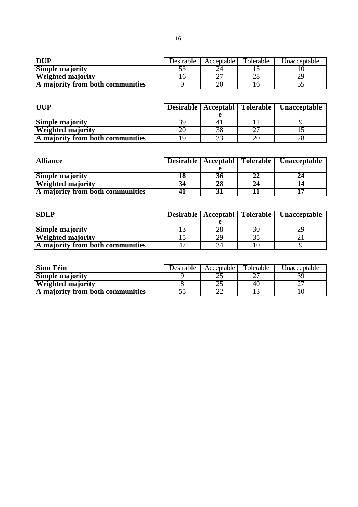| DUP                              | Desirable | Acceptable | Tolerable | Unacceptable |
|----------------------------------|-----------|------------|-----------|--------------|
| <b>Simple majority</b>           |           |            |           |              |
| <b>Weighted majority</b>         |           |            | ZΟ        | ر ب          |
| A majority from both communities |           |            |           | ັ            |

| <b>UUP</b>                       |    |    | Desirable   Acceptabl   Tolerable   Unacceptable |
|----------------------------------|----|----|--------------------------------------------------|
|                                  |    |    |                                                  |
| <b>Simple majority</b>           |    |    |                                                  |
| <b>Weighted majority</b>         |    | ^~ |                                                  |
| A majority from both communities | 19 |    |                                                  |

| <b>Alliance</b>                  |    |    |    | Desirable   Acceptabl   Tolerable   Unacceptable |
|----------------------------------|----|----|----|--------------------------------------------------|
|                                  |    |    |    |                                                  |
| <b>Simple majority</b>           | 18 | 36 | 22 |                                                  |
| <b>Weighted majority</b>         | 34 | 28 | 24 |                                                  |
| A majority from both communities |    |    |    |                                                  |

| <b>SDLP</b>                      |    | Desirable   Acceptabl   Tolerable   Unacceptable |
|----------------------------------|----|--------------------------------------------------|
|                                  |    |                                                  |
| <b>Simple majority</b>           |    |                                                  |
| <b>Weighted majority</b>         | 29 |                                                  |
| A majority from both communities |    |                                                  |

| Sinn Féin                        | Desirable | Acceptable | Tolerable | Unacceptable |
|----------------------------------|-----------|------------|-----------|--------------|
| <b>Simple majority</b>           |           | ~∼         | ^^        |              |
| <b>Weighted majority</b>         |           |            | 40        |              |
| A majority from both communities | JJ        |            |           |              |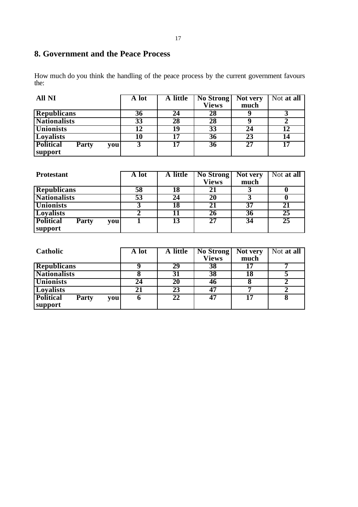# **8. Government and the Peace Process**

How much do you think the handling of the peace process by the current government favours the:

| <b>All NI</b>                           | A lot | A little | <b>No Strong</b> | Not very        | Not at all |
|-----------------------------------------|-------|----------|------------------|-----------------|------------|
|                                         |       |          | <b>Views</b>     | much            |            |
| <b>Republicans</b>                      | 36    | 24       | 28               |                 |            |
| <b>Nationalists</b>                     | 33    | 28       | 28               |                 |            |
| <b>Unionists</b>                        |       | 19       | 33               | 24              |            |
| Loyalists                               | 10    | די       | 36               | 23              | 14         |
| <b>Political</b><br><b>Party</b><br>you |       | די       | 36               | $\overline{27}$ | 17         |
| support                                 |       |          |                  |                 |            |

| <b>Protestant</b>                | A lot | A little | No Strong    | Not very | Not at all      |
|----------------------------------|-------|----------|--------------|----------|-----------------|
|                                  |       |          | <b>Views</b> | much     |                 |
| <b>Republicans</b>               | 58    | 18       |              |          |                 |
| <b>Nationalists</b>              | 53    | 24       | 20           |          |                 |
| <b>Unionists</b>                 |       | 18       | 21           | 37       | 21              |
| Loyalists                        |       |          | 26           | 36       | 25              |
| <b>Political</b><br>Party<br>you |       | 13       | 27           | 34       | $\overline{25}$ |
| support                          |       |          |              |          |                 |

| Catholic                                | A lot | A little | No Strong    | Not very | Not at all |
|-----------------------------------------|-------|----------|--------------|----------|------------|
|                                         |       |          | <b>Views</b> | much     |            |
| <b>Republicans</b>                      |       | 29       | 38           |          |            |
| <b>Nationalists</b>                     |       | 31       | 38           | 18       |            |
| <b>Unionists</b>                        | 24    | 20       | 46           |          |            |
| Loyalists                               | 21    | 23       | 47           |          |            |
| <b>Political</b><br><b>Party</b><br>vou | o     |          | 47           | 17       |            |
| support                                 |       |          |              |          |            |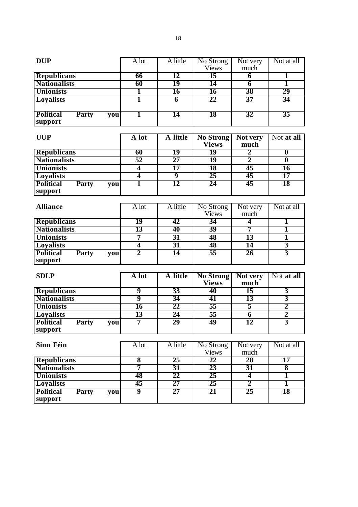| <b>DUP</b>                                |     | A lot                   | A little                    | No Strong                 | Not very                | Not at all              |
|-------------------------------------------|-----|-------------------------|-----------------------------|---------------------------|-------------------------|-------------------------|
|                                           |     |                         |                             | <b>Views</b>              | much                    |                         |
| <b>Republicans</b>                        |     | 66                      | 12                          | $\overline{15}$           | $\overline{6}$          | $\overline{\mathbf{1}}$ |
| <b>Nationalists</b>                       |     | 60                      | 19                          | 14                        | $\overline{\mathbf{6}}$ | ī                       |
| <b>Unionists</b>                          |     | $\overline{\mathbf{1}}$ | 16                          | 16                        | 38                      | 29                      |
| <b>Loyalists</b>                          |     | $\overline{\mathbf{1}}$ | $\overline{6}$              | $\overline{22}$           | $\overline{37}$         | 34                      |
|                                           |     |                         |                             |                           |                         |                         |
| <b>Political</b><br><b>Party</b>          | you | 1                       | 14                          | <b>18</b>                 | 32                      | 35                      |
| support                                   |     |                         |                             |                           |                         |                         |
|                                           |     |                         |                             |                           |                         |                         |
| <b>UUP</b>                                |     | A lot                   | A little                    | <b>No Strong</b>          | Not very                | Not at all              |
|                                           |     |                         |                             | <b>Views</b>              | much                    |                         |
| <b>Republicans</b>                        |     | 60                      | 19                          | 19                        | $\overline{2}$          | $\overline{\mathbf{0}}$ |
| <b>Nationalists</b>                       |     | $\overline{52}$         | 27                          | 19                        | $\overline{2}$          | $\overline{\mathbf{0}}$ |
| <b>Unionists</b>                          |     | 4                       | $\overline{17}$             | 18                        | 45                      | 16                      |
| <b>Loyalists</b>                          |     | 4                       | $\overline{\boldsymbol{9}}$ | 25                        | 45                      | $\overline{17}$         |
| <b>Political</b><br>Party                 | you | ī                       | 12                          | 24                        | 45                      | 18                      |
| support                                   |     |                         |                             |                           |                         |                         |
|                                           |     |                         |                             |                           |                         |                         |
| <b>Alliance</b>                           |     | A lot                   | A little                    |                           |                         | Not at all              |
|                                           |     |                         |                             | No Strong<br><b>Views</b> | Not very<br>much        |                         |
|                                           |     | 19                      | 42                          | 34                        | 4                       |                         |
| <b>Republicans</b><br><b>Nationalists</b> |     | $\overline{13}$         |                             | 39                        | 7                       | 1<br>ī                  |
|                                           |     |                         | 40                          |                           |                         |                         |
| <b>Unionists</b>                          |     | 7                       | 31                          | 48                        | 13                      | $\overline{\mathbf{1}}$ |
| <b>Loyalists</b>                          |     | $\overline{\mathbf{4}}$ | $\overline{31}$             | 48                        | 14                      | $\overline{\mathbf{3}}$ |
| <b>Political</b><br>Party                 | you | $\overline{2}$          | 14                          | 55                        | 26                      | 3                       |
| support                                   |     |                         |                             |                           |                         |                         |
|                                           |     |                         |                             |                           |                         |                         |
| <b>SDLP</b>                               |     | A lot                   | A little                    | <b>No Strong</b>          | Not very                | Not at all              |
|                                           |     |                         |                             | <b>Views</b>              | much                    |                         |
| <b>Republicans</b>                        |     | 9                       | 33                          | 40                        | 15                      | 3                       |
| <b>Nationalists</b>                       |     | 9                       | 34                          | 41                        | 13                      | $\overline{\mathbf{3}}$ |
| <b>Unionists</b>                          |     | 16                      | 22                          | 55                        | 5                       | $\overline{2}$          |
| <b>Loyalists</b>                          |     | 13                      | 24                          | 55                        | $\overline{6}$          | $\overline{2}$          |
| <b>Political</b><br><b>Party</b>          | you | 7                       | 29                          | 49                        | 12                      | $\overline{3}$          |
| support                                   |     |                         |                             |                           |                         |                         |
|                                           |     |                         |                             |                           |                         |                         |
| Sinn Féin                                 |     | A lot                   | A little                    | No Strong                 | Not very                | Not at all              |
|                                           |     |                         |                             | <b>Views</b>              | much                    |                         |
| <b>Republicans</b>                        |     | $\overline{\bf 8}$      | $25\,$                      | 22                        | 28                      | $\overline{17}$         |
| <b>Nationalists</b>                       |     | 7                       | $31\,$                      | 23                        | 31                      | $\overline{\mathbf{8}}$ |
| <b>Unionists</b>                          |     | 48                      | 22                          | $\overline{25}$           | $\overline{\mathbf{4}}$ | $\overline{\mathbf{1}}$ |
| <b>Loyalists</b>                          |     | 45                      | $\overline{27}$             | $25\overline{)}$          | $\overline{2}$          | $\overline{\mathbf{1}}$ |
| <b>Political</b><br><b>Party</b>          | you | $\overline{9}$          | $27\,$                      | $\overline{21}$           | $25\overline{)}$        | 18                      |
| support                                   |     |                         |                             |                           |                         |                         |
|                                           |     |                         |                             |                           |                         |                         |